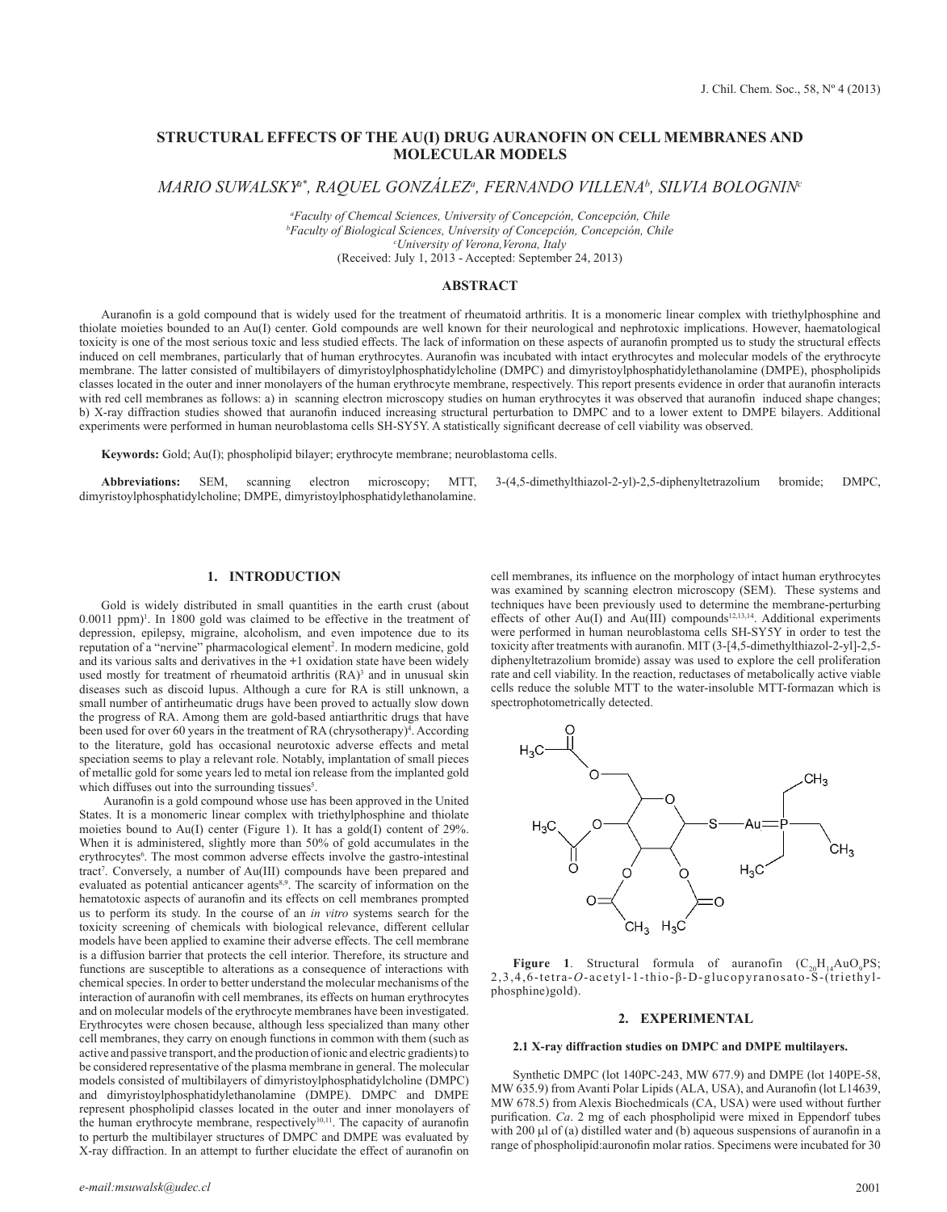# **STRUCTURAL EFFECTS OF THE AU(I) DRUG AURANOFIN ON CELL MEMBRANES AND MOLECULAR MODELS**

*MARIO SUWALSKYa\*, RAQUEL GONZÁLEZa , FERNANDO VILLENAb , SILVIA BOLOGNINc*

*a Faculty of Chemcal Sciences, University of Concepción, Concepción, Chile b Faculty of Biological Sciences, University of Concepción, Concepción, Chile c University of Verona,Verona, Italy* (Received: July 1, 2013 - Accepted: September 24, 2013)

### **ABSTRACT**

Auranofin is a gold compound that is widely used for the treatment of rheumatoid arthritis. It is a monomeric linear complex with triethylphosphine and thiolate moieties bounded to an Au(I) center. Gold compounds are well known for their neurological and nephrotoxic implications. However, haematological toxicity is one of the most serious toxic and less studied effects. The lack of information on these aspects of auranofin prompted us to study the structural effects induced on cell membranes, particularly that of human erythrocytes. Auranofin was incubated with intact erythrocytes and molecular models of the erythrocyte membrane. The latter consisted of multibilayers of dimyristoylphosphatidylcholine (DMPC) and dimyristoylphosphatidylethanolamine (DMPE), phospholipids classes located in the outer and inner monolayers of the human erythrocyte membrane, respectively. This report presents evidence in order that auranofin interacts with red cell membranes as follows: a) in scanning electron microscopy studies on human erythrocytes it was observed that auranofin induced shape changes; b) X-ray diffraction studies showed that auranofin induced increasing structural perturbation to DMPC and to a lower extent to DMPE bilayers. Additional experiments were performed in human neuroblastoma cells SH-SY5Y. A statistically significant decrease of cell viability was observed.

**Keywords:** Gold; Au(I); phospholipid bilayer; erythrocyte membrane; neuroblastoma cells.

**Abbreviations:** SEM, scanning electron microscopy; MTT, 3-(4,5-dimethylthiazol-2-yl)-2,5-diphenyltetrazolium bromide; DMPC, dimyristoylphosphatidylcholine; DMPE, dimyristoylphosphatidylethanolamine.

### **1. INTRODUCTION**

Gold is widely distributed in small quantities in the earth crust (about  $(0.0011 \text{ ppm})^1$ . In 1800 gold was claimed to be effective in the treatment of depression, epilepsy, migraine, alcoholism, and even impotence due to its reputation of a "nervine" pharmacological element<sup>2</sup>. In modern medicine, gold and its various salts and derivatives in the **+**1 oxidation state have been widely used mostly for treatment of rheumatoid arthritis  $(RA)$ <sup>3</sup> and in unusual skin diseases such as discoid lupus. Although a cure for RA is still unknown, a small number of antirheumatic drugs have been proved to actually slow down the progress of RA. Among them are gold-based antiarthritic drugs that have been used for over 60 years in the treatment of RA (chrysotherapy)<sup>4</sup>. According to the literature, gold has occasional neurotoxic adverse effects and metal speciation seems to play a relevant role. Notably, implantation of small pieces of metallic gold for some years led to metal ion release from the implanted gold which diffuses out into the surrounding tissues $<sup>5</sup>$ .</sup>

 Auranofin is a gold compound whose use has been approved in the United States. It is a monomeric linear complex with triethylphosphine and thiolate moieties bound to Au(I) center (Figure 1). It has a gold(I) content of  $29\%$ . When it is administered, slightly more than 50% of gold accumulates in the erythrocytes<sup>6</sup>. The most common adverse effects involve the gastro-intestinal tract7 . Conversely, a number of Au(III) compounds have been prepared and evaluated as potential anticancer agents<sup>8,9</sup>. The scarcity of information on the hematotoxic aspects of auranofin and its effects on cell membranes prompted us to perform its study. In the course of an *in vitro* systems search for the toxicity screening of chemicals with biological relevance, different cellular models have been applied to examine their adverse effects. The cell membrane is a diffusion barrier that protects the cell interior. Therefore, its structure and functions are susceptible to alterations as a consequence of interactions with chemical species. In order to better understand the molecular mechanisms of the interaction of auranofin with cell membranes, its effects on human erythrocytes and on molecular models of the erythrocyte membranes have been investigated. Erythrocytes were chosen because, although less specialized than many other cell membranes, they carry on enough functions in common with them (such as active and passive transport, and the production of ionic and electric gradients) to be considered representative of the plasma membrane in general. The molecular models consisted of multibilayers of dimyristoylphosphatidylcholine (DMPC) and dimyristoylphosphatidylethanolamine (DMPE). DMPC and DMPE represent phospholipid classes located in the outer and inner monolayers of the human erythrocyte membrane, respectively<sup>10,11</sup>. The capacity of auranofin to perturb the multibilayer structures of DMPC and DMPE was evaluated by X-ray diffraction. In an attempt to further elucidate the effect of auranofin on cell membranes, its influence on the morphology of intact human erythrocytes was examined by scanning electron microscopy (SEM). These systems and techniques have been previously used to determine the membrane-perturbing effects of other  $Au(I)$  and  $Au(III)$  compounds<sup>12,13,14</sup>. Additional experiments were performed in human neuroblastoma cells SH-SY5Y in order to test the toxicity after treatments with auranofin. MIT (3-[4,5-dimethylthiazol-2-yl]-2,5 diphenyltetrazolium bromide) assay was used to explore the cell proliferation rate and cell viability. In the reaction, reductases of metabolically active viable cells reduce the soluble MTT to the water-insoluble MTT-formazan which is spectrophotometrically detected.



**Figure 1.** Structural formula of auranofin  $(C_{20}H_{14}AuO_9PS)$ ; 2,3,4,6-tetra-*O*-acetyl-1-thio-β-D-glucopyranosato-S-(triethylphosphine)gold).

## **2. EXPERIMENTAL**

#### **2.1 X-ray diffraction studies on DMPC and DMPE multilayers.**

Synthetic DMPC (lot 140PC-243, MW 677.9) and DMPE (lot 140PE-58, MW 635.9) from Avanti Polar Lipids (ALA, USA), and Auranofin (lot L14639, MW 678.5) from Alexis Biochedmicals (CA, USA) were used without further purification. *Ca*. 2 mg of each phospholipid were mixed in Eppendorf tubes with  $200 \mu$  of (a) distilled water and (b) aqueous suspensions of auranofin in a range of phospholipid:auronofin molar ratios. Specimens were incubated for 30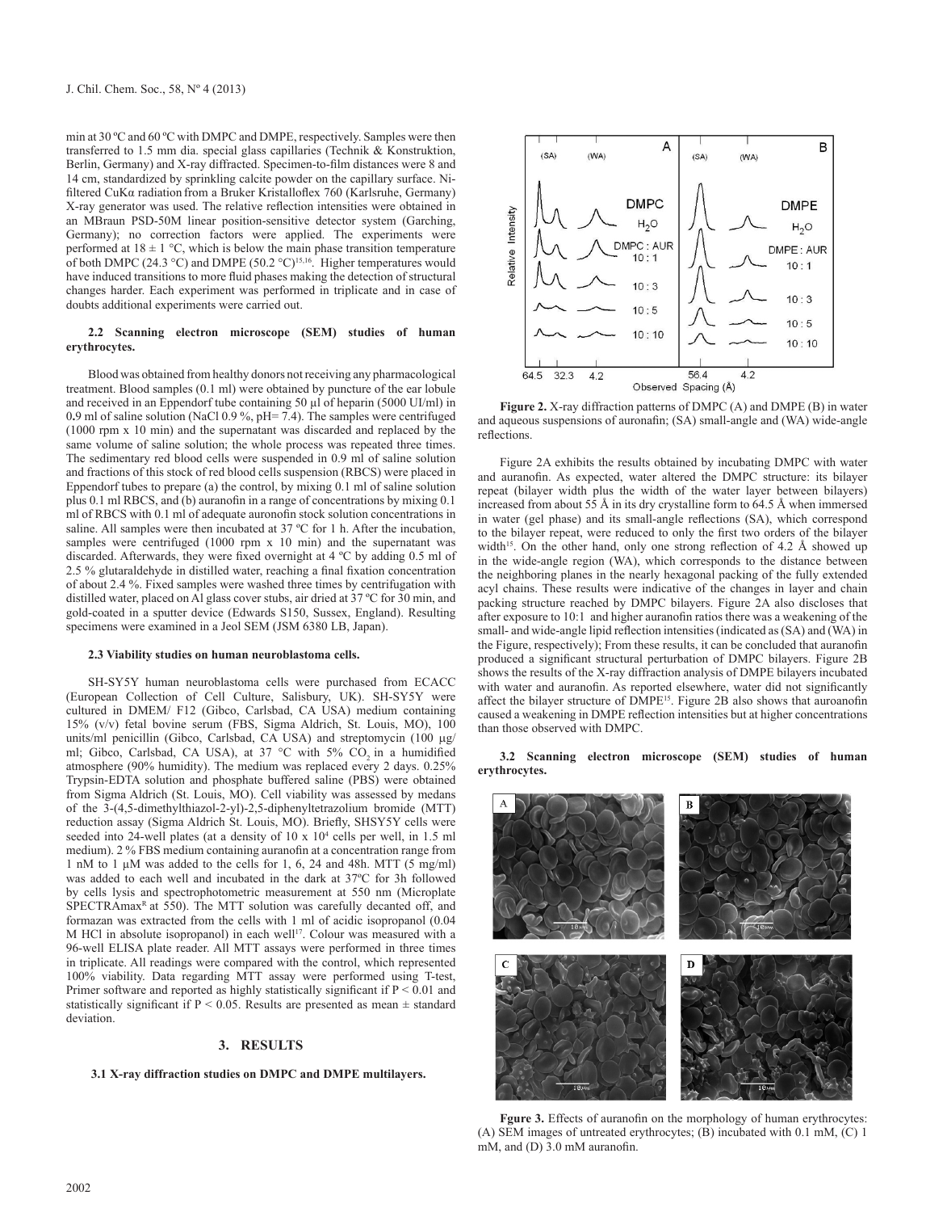min at 30 ºC and 60 ºC with DMPC and DMPE, respectively. Samples were then transferred to 1.5 mm dia. special glass capillaries (Technik & Konstruktion, Berlin, Germany) and X-ray diffracted. Specimen-to-film distances were 8 and 14 cm, standardized by sprinkling calcite powder on the capillary surface. Nifiltered CuKα radiation from a Bruker Kristalloflex 760 (Karlsruhe, Germany) X-ray generator was used. The relative reflection intensities were obtained in an MBraun PSD-50M linear position-sensitive detector system (Garching, Germany); no correction factors were applied. The experiments were performed at  $18 \pm 1$  °C, which is below the main phase transition temperature of both DMPC (24.3 °C) and DMPE (50.2 °C)15,16.Higher temperatures would have induced transitions to more fluid phases making the detection of structural changes harder. Each experiment was performed in triplicate and in case of doubts additional experiments were carried out.

#### **2.2 Scanning electron microscope (SEM) studies of human erythrocytes.**

Blood was obtained from healthy donors not receiving any pharmacological treatment. Blood samples (0.1 ml) were obtained by puncture of the ear lobule and received in an Eppendorf tube containing 50 µl of heparin (5000 UI/ml) in 0**.**9 ml of saline solution (NaCl 0.9 %, pH= 7.4). The samples were centrifuged (1000 rpm x 10 min) and the supernatant was discarded and replaced by the same volume of saline solution; the whole process was repeated three times. The sedimentary red blood cells were suspended in 0.9 ml of saline solution and fractions of this stock of red blood cells suspension (RBCS) were placed in Eppendorf tubes to prepare (a) the control, by mixing 0.1 ml of saline solution plus 0.1 ml RBCS, and (b) auranofin in a range of concentrations by mixing 0.1 ml of RBCS with 0.1 ml of adequate auronofin stock solution concentrations in saline. All samples were then incubated at 37 °C for 1 h. After the incubation, samples were centrifuged (1000 rpm x 10 min) and the supernatant was discarded. Afterwards, they were fixed overnight at 4 ºC by adding 0.5 ml of 2.5 % glutaraldehyde in distilled water, reaching a final fixation concentration of about 2.4 %. Fixed samples were washed three times by centrifugation with distilled water, placed on Al glass cover stubs, air dried at 37 ºC for 30 min, and gold-coated in a sputter device (Edwards S150, Sussex, England). Resulting specimens were examined in a Jeol SEM (JSM 6380 LB, Japan).

#### **2.3 Viability studies on human neuroblastoma cells.**

SH-SY5Y human neuroblastoma cells were purchased from ECACC (European Collection of Cell Culture, Salisbury, UK). SH-SY5Y were cultured in DMEM/ F12 (Gibco, Carlsbad, CA USA) medium containing 15% (v/v) fetal bovine serum (FBS, Sigma Aldrich, St. Louis, MO), 100 units/ml penicillin (Gibco, Carlsbad, CA USA) and streptomycin (100 µg/ ml; Gibco, Carlsbad, CA USA), at 37 °C with 5% CO<sub>2</sub> in a humidified atmosphere (90% humidity). The medium was replaced every 2 days. 0.25% Trypsin-EDTA solution and phosphate buffered saline (PBS) were obtained from Sigma Aldrich (St. Louis, MO). Cell viability was assessed by medans of the 3-(4,5-dimethylthiazol-2-yl)-2,5-diphenyltetrazolium bromide (MTT) reduction assay (Sigma Aldrich St. Louis, MO). Briefly, SHSY5Y cells were seeded into 24-well plates (at a density of 10 x  $10<sup>4</sup>$  cells per well, in 1.5 ml medium). 2 % FBS medium containing auranofin at a concentration range from 1 nM to 1  $\mu$ M was added to the cells for 1, 6, 24 and 48h. MTT (5 mg/ml) was added to each well and incubated in the dark at 37ºC for 3h followed by cells lysis and spectrophotometric measurement at 550 nm (Microplate SPECTRAmax<sup>R</sup> at 550). The MTT solution was carefully decanted off, and formazan was extracted from the cells with 1 ml of acidic isopropanol (0.04 M HCl in absolute isopropanol) in each well<sup>17</sup>. Colour was measured with a 96-well ELISA plate reader. All MTT assays were performed in three times in triplicate. All readings were compared with the control, which represented 100% viability. Data regarding MTT assay were performed using T-test, Primer software and reported as highly statistically significant if  $P \le 0.01$  and statistically significant if  $P \le 0.05$ . Results are presented as mean  $\pm$  standard deviation.

#### **3. RESULTS**

### **3.1 X-ray diffraction studies on DMPC and DMPE multilayers.**



**Figure 2.** X-ray diffraction patterns of DMPC (A) and DMPE (B) in water and aqueous suspensions of auronafin; (SA) small-angle and (WA) wide-angle reflections.

Figure 2A exhibits the results obtained by incubating DMPC with water and auranofin. As expected, water altered the DMPC structure: its bilayer repeat (bilayer width plus the width of the water layer between bilayers) increased from about 55 Å in its dry crystalline form to 64.5 Å when immersed in water (gel phase) and its small-angle reflections (SA), which correspond to the bilayer repeat, were reduced to only the first two orders of the bilayer width<sup>15</sup>. On the other hand, only one strong reflection of 4.2  $\AA$  showed up in the wide-angle region (WA), which corresponds to the distance between the neighboring planes in the nearly hexagonal packing of the fully extended acyl chains. These results were indicative of the changes in layer and chain packing structure reached by DMPC bilayers. Figure 2A also discloses that after exposure to 10:1 and higher auranofin ratios there was a weakening of the small- and wide-angle lipid reflection intensities (indicated as (SA) and (WA) in the Figure, respectively); From these results, it can be concluded that auranofin produced a significant structural perturbation of DMPC bilayers. Figure 2B shows the results of the X-ray diffraction analysis of DMPE bilayers incubated with water and auranofin. As reported elsewhere, water did not significantly affect the bilayer structure of DMPE15. Figure 2B also shows that auroanofin caused a weakening in DMPE reflection intensities but at higher concentrations than those observed with DMPC.

**3.2 Scanning electron microscope (SEM) studies of human erythrocytes.** 



**Fgure 3.** Effects of auranofin on the morphology of human erythrocytes: (A) SEM images of untreated erythrocytes; (B) incubated with 0.1 mM, (C) 1 mM, and (D) 3.0 mM auranofin.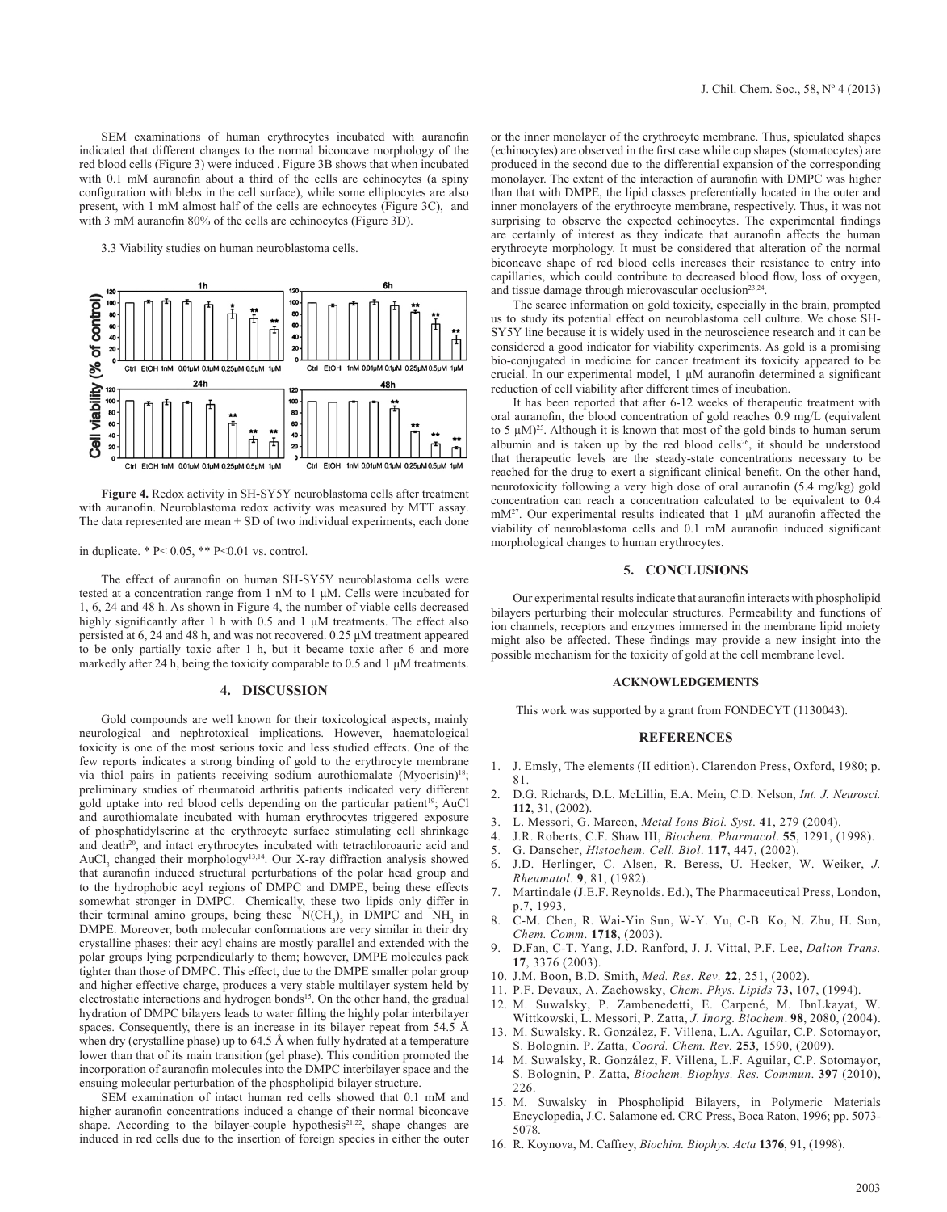SEM examinations of human erythrocytes incubated with auranofin indicated that different changes to the normal biconcave morphology of the red blood cells (Figure 3) were induced . Figure 3B shows that when incubated with 0.1 mM auranofin about a third of the cells are echinocytes (a spiny configuration with blebs in the cell surface), while some elliptocytes are also present, with 1 mM almost half of the cells are echnocytes (Figure 3C), and with 3 mM auranofin 80% of the cells are echinocytes (Figure 3D).

3.3 Viability studies on human neuroblastoma cells.



**Figure 4.** Redox activity in SH-SY5Y neuroblastoma cells after treatment with auranofin. Neuroblastoma redox activity was measured by MTT assay. The data represented are mean  $\pm$  SD of two individual experiments, each done

in duplicate. \*  $P < 0.05$ , \*\*  $P < 0.01$  vs. control.

The effect of auranofin on human SH-SY5Y neuroblastoma cells were tested at a concentration range from 1 nM to 1 μM. Cells were incubated for 1, 6, 24 and 48 h. As shown in Figure 4, the number of viable cells decreased highly significantly after 1 h with 0.5 and 1 μM treatments. The effect also persisted at 6, 24 and 48 h, and was not recovered. 0.25 μM treatment appeared to be only partially toxic after 1 h, but it became toxic after 6 and more markedly after 24 h, being the toxicity comparable to 0.5 and 1 μM treatments.

### **4. DISCUSSION**

Gold compounds are well known for their toxicological aspects, mainly neurological and nephrotoxical implications. However, haematological toxicity is one of the most serious toxic and less studied effects. One of the few reports indicates a strong binding of gold to the erythrocyte membrane via thiol pairs in patients receiving sodium aurothiomalate (Myocrisin)18; preliminary studies of rheumatoid arthritis patients indicated very different gold uptake into red blood cells depending on the particular patient<sup>19</sup>; AuCl and aurothiomalate incubated with human erythrocytes triggered exposure of phosphatidylserine at the erythrocyte surface stimulating cell shrinkage and death<sup>20</sup>, and intact erythrocytes incubated with tetrachloroauric acid and AuCl<sub>3</sub> changed their morphology<sup>13,14</sup>. Our X-ray diffraction analysis showed that auranofin induced structural perturbations of the polar head group and to the hydrophobic acyl regions of DMPC and DMPE, being these effects somewhat stronger in DMPC. Chemically, these two lipids only differ in their terminal amino groups, being these  $N(CH<sub>3</sub>)$  in DMPC and  $NH<sub>3</sub>$  in DMPE. Moreover, both molecular conformations are very similar in their dry crystalline phases: their acyl chains are mostly parallel and extended with the polar groups lying perpendicularly to them; however, DMPE molecules pack tighter than those of DMPC. This effect, due to the DMPE smaller polar group and higher effective charge, produces a very stable multilayer system held by electrostatic interactions and hydrogen bonds<sup>15</sup>. On the other hand, the gradual hydration of DMPC bilayers leads to water filling the highly polar interbilayer spaces. Consequently, there is an increase in its bilayer repeat from 54.5 Å when dry (crystalline phase) up to 64.5 Å when fully hydrated at a temperature lower than that of its main transition (gel phase). This condition promoted the incorporation of auranofin molecules into the DMPC interbilayer space and the ensuing molecular perturbation of the phospholipid bilayer structure.

SEM examination of intact human red cells showed that 0.1 mM and higher auranofin concentrations induced a change of their normal biconcave shape. According to the bilayer-couple hypothesis<sup>21,22</sup>, shape changes are induced in red cells due to the insertion of foreign species in either the outer

or the inner monolayer of the erythrocyte membrane. Thus, spiculated shapes (echinocytes) are observed in the first case while cup shapes (stomatocytes) are produced in the second due to the differential expansion of the corresponding monolayer. The extent of the interaction of auranofin with DMPC was higher than that with DMPE, the lipid classes preferentially located in the outer and inner monolayers of the erythrocyte membrane, respectively. Thus, it was not surprising to observe the expected echinocytes. The experimental findings are certainly of interest as they indicate that auranofin affects the human erythrocyte morphology. It must be considered that alteration of the normal biconcave shape of red blood cells increases their resistance to entry into capillaries, which could contribute to decreased blood flow, loss of oxygen, and tissue damage through microvascular occlusion<sup>23,24</sup>

The scarce information on gold toxicity, especially in the brain, prompted us to study its potential effect on neuroblastoma cell culture. We chose SH-SY5Y line because it is widely used in the neuroscience research and it can be considered a good indicator for viability experiments. As gold is a promising bio-conjugated in medicine for cancer treatment its toxicity appeared to be crucial. In our experimental model, 1 µM auranofin determined a significant reduction of cell viability after different times of incubation.

It has been reported that after 6-12 weeks of therapeutic treatment with oral auranofin, the blood concentration of gold reaches 0.9 mg/L (equivalent to 5  $\mu$ M)<sup>25</sup>. Although it is known that most of the gold binds to human serum albumin and is taken up by the red blood cells<sup>26</sup>, it should be understood that therapeutic levels are the steady-state concentrations necessary to be reached for the drug to exert a significant clinical benefit. On the other hand, neurotoxicity following a very high dose of oral auranofin (5.4 mg/kg) gold concentration can reach a concentration calculated to be equivalent to 0.4  $mM^{27}$ . Our experimental results indicated that 1  $\mu$ M auranofin affected the viability of neuroblastoma cells and 0.1 mM auranofin induced significant morphological changes to human erythrocytes.

#### **5. CONCLUSIONS**

Our experimental results indicate that auranofin interacts with phospholipid bilayers perturbing their molecular structures. Permeability and functions of ion channels, receptors and enzymes immersed in the membrane lipid moiety might also be affected. These findings may provide a new insight into the possible mechanism for the toxicity of gold at the cell membrane level.

#### **ACKNOWLEDGEMENTS**

This work was supported by a grant from FONDECYT (1130043).

#### **REFERENCES**

- 1. J. Emsly, The elements (II edition). Clarendon Press, Oxford, 1980; p. 81.
- 2. D.G. Richards, D.L. McLillin, E.A. Mein, C.D. Nelson, *Int. J. Neurosci.* **112**, 31, (2002).
- 3. L. Messori, G. Marcon, *Metal Ions Biol. Syst*. **41**, 279 (2004).
- 4. J.R. Roberts, C.F. Shaw III, *Biochem. Pharmacol*. **55**, 1291, (1998).
- 5. G. Danscher, *Histochem. Cell. Biol*. **117**, 447, (2002).
- 6. J.D. Herlinger, C. Alsen, R. Beress, U. Hecker, W. Weiker, *J. Rheumatol*. **9**, 81, (1982).
- 7. Martindale (J.E.F. Reynolds. Ed.), The Pharmaceutical Press, London, p.7, 1993,
- 8. C-M. Chen, R. Wai-Yin Sun, W-Y. Yu, C-B. Ko, N. Zhu, H. Sun, *Chem. Comm*. **1718**, (2003).
- 9. D.Fan, C-T. Yang, J.D. Ranford, J. J. Vittal, P.F. Lee, *Dalton Trans.* **17**, 3376 (2003).
- 10. J.M. Boon, B.D. Smith, *Med. Res. Rev.* **22**, 251, (2002).
- 11. P.F. Devaux, A. Zachowsky, *Chem. Phys. Lipids* **73,** 107, (1994).
- 12. M. Suwalsky, P. Zambenedetti, E. Carpené, M. IbnLkayat, W. Wittkowski, L. Messori, P. Zatta, *J. Inorg. Biochem*. **98**, 2080, (2004).
- 13. M. Suwalsky. R. González, F. Villena, L.A. Aguilar, C.P. Sotomayor, S. Bolognin. P. Zatta, *Coord. Chem. Rev.* **253**, 1590, (2009).
- 14 M. Suwalsky, R. González, F. Villena, L.F. Aguilar, C.P. Sotomayor, S. Bolognin, P. Zatta, *Biochem. Biophys. Res. Commun*. **397** (2010), 226.
- 15. M. Suwalsky in Phospholipid Bilayers, in Polymeric Materials Encyclopedia, J.C. Salamone ed. CRC Press, Boca Raton, 1996; pp. 5073- 5078.
- 16. R. Koynova, M. Caffrey, *Biochim. Biophys. Acta* **1376**, 91, (1998).